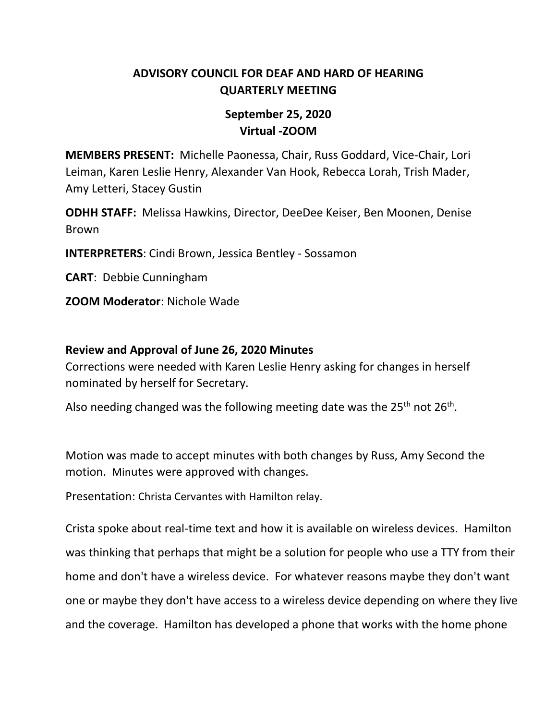# **ADVISORY COUNCIL FOR DEAF AND HARD OF HEARING QUARTERLY MEETING**

# **September 25, 2020 Virtual -ZOOM**

**MEMBERS PRESENT:** Michelle Paonessa, Chair, Russ Goddard, Vice-Chair, Lori Leiman, Karen Leslie Henry, Alexander Van Hook, Rebecca Lorah, Trish Mader, Amy Letteri, Stacey Gustin

**ODHH STAFF:** Melissa Hawkins, Director, DeeDee Keiser, Ben Moonen, Denise Brown

**INTERPRETERS**: Cindi Brown, Jessica Bentley - Sossamon

**CART**: Debbie Cunningham

**ZOOM Moderator**: Nichole Wade

#### **Review and Approval of June 26, 2020 Minutes**

Corrections were needed with Karen Leslie Henry asking for changes in herself nominated by herself for Secretary.

Also needing changed was the following meeting date was the 25<sup>th</sup> not 26<sup>th</sup>.

Motion was made to accept minutes with both changes by Russ, Amy Second the motion. Minutes were approved with changes.

Presentation: Christa Cervantes with Hamilton relay.

Crista spoke about real-time text and how it is available on wireless devices. Hamilton was thinking that perhaps that might be a solution for people who use a TTY from their home and don't have a wireless device. For whatever reasons maybe they don't want one or maybe they don't have access to a wireless device depending on where they live and the coverage. Hamilton has developed a phone that works with the home phone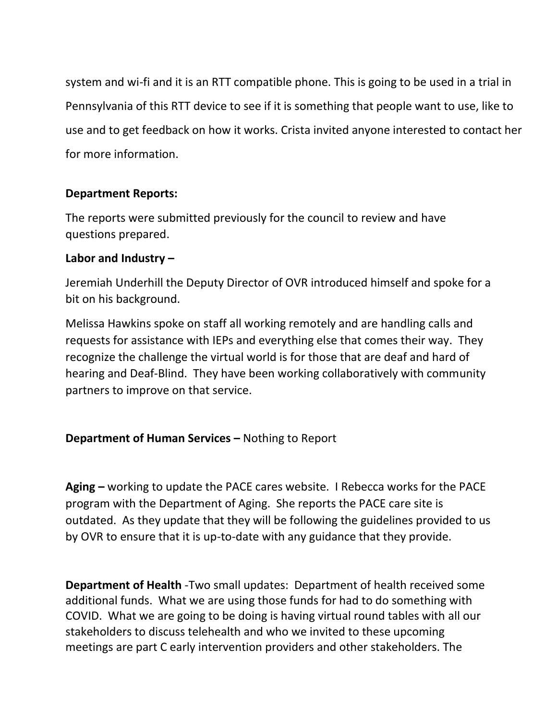system and wi-fi and it is an RTT compatible phone. This is going to be used in a trial in Pennsylvania of this RTT device to see if it is something that people want to use, like to use and to get feedback on how it works. Crista invited anyone interested to contact her for more information.

## **Department Reports:**

The reports were submitted previously for the council to review and have questions prepared.

### **Labor and Industry –**

Jeremiah Underhill the Deputy Director of OVR introduced himself and spoke for a bit on his background.

Melissa Hawkins spoke on staff all working remotely and are handling calls and requests for assistance with IEPs and everything else that comes their way. They recognize the challenge the virtual world is for those that are deaf and hard of hearing and Deaf-Blind. They have been working collaboratively with community partners to improve on that service.

### **Department of Human Services –** Nothing to Report

**Aging –** working to update the PACE cares website. I Rebecca works for the PACE program with the Department of Aging. She reports the PACE care site is outdated. As they update that they will be following the guidelines provided to us by OVR to ensure that it is up-to-date with any guidance that they provide.

**Department of Health** -Two small updates: Department of health received some additional funds. What we are using those funds for had to do something with COVID. What we are going to be doing is having virtual round tables with all our stakeholders to discuss telehealth and who we invited to these upcoming meetings are part C early intervention providers and other stakeholders. The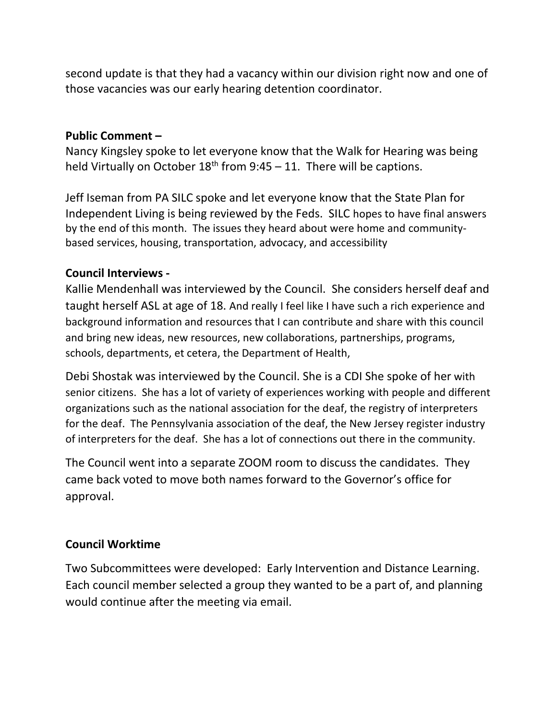second update is that they had a vacancy within our division right now and one of those vacancies was our early hearing detention coordinator.

#### **Public Comment –**

Nancy Kingsley spoke to let everyone know that the Walk for Hearing was being held Virtually on October  $18^{th}$  from 9:45 – 11. There will be captions.

Jeff Iseman from PA SILC spoke and let everyone know that the State Plan for Independent Living is being reviewed by the Feds. SILC hopes to have final answers by the end of this month. The issues they heard about were home and communitybased services, housing, transportation, advocacy, and accessibility

## **Council Interviews -**

Kallie Mendenhall was interviewed by the Council. She considers herself deaf and taught herself ASL at age of 18. And really I feel like I have such a rich experience and background information and resources that I can contribute and share with this council and bring new ideas, new resources, new collaborations, partnerships, programs, schools, departments, et cetera, the Department of Health,

Debi Shostak was interviewed by the Council. She is a CDI She spoke of her with senior citizens. She has a lot of variety of experiences working with people and different organizations such as the national association for the deaf, the registry of interpreters for the deaf. The Pennsylvania association of the deaf, the New Jersey register industry of interpreters for the deaf. She has a lot of connections out there in the community.

The Council went into a separate ZOOM room to discuss the candidates. They came back voted to move both names forward to the Governor's office for approval.

### **Council Worktime**

Two Subcommittees were developed: Early Intervention and Distance Learning. Each council member selected a group they wanted to be a part of, and planning would continue after the meeting via email.